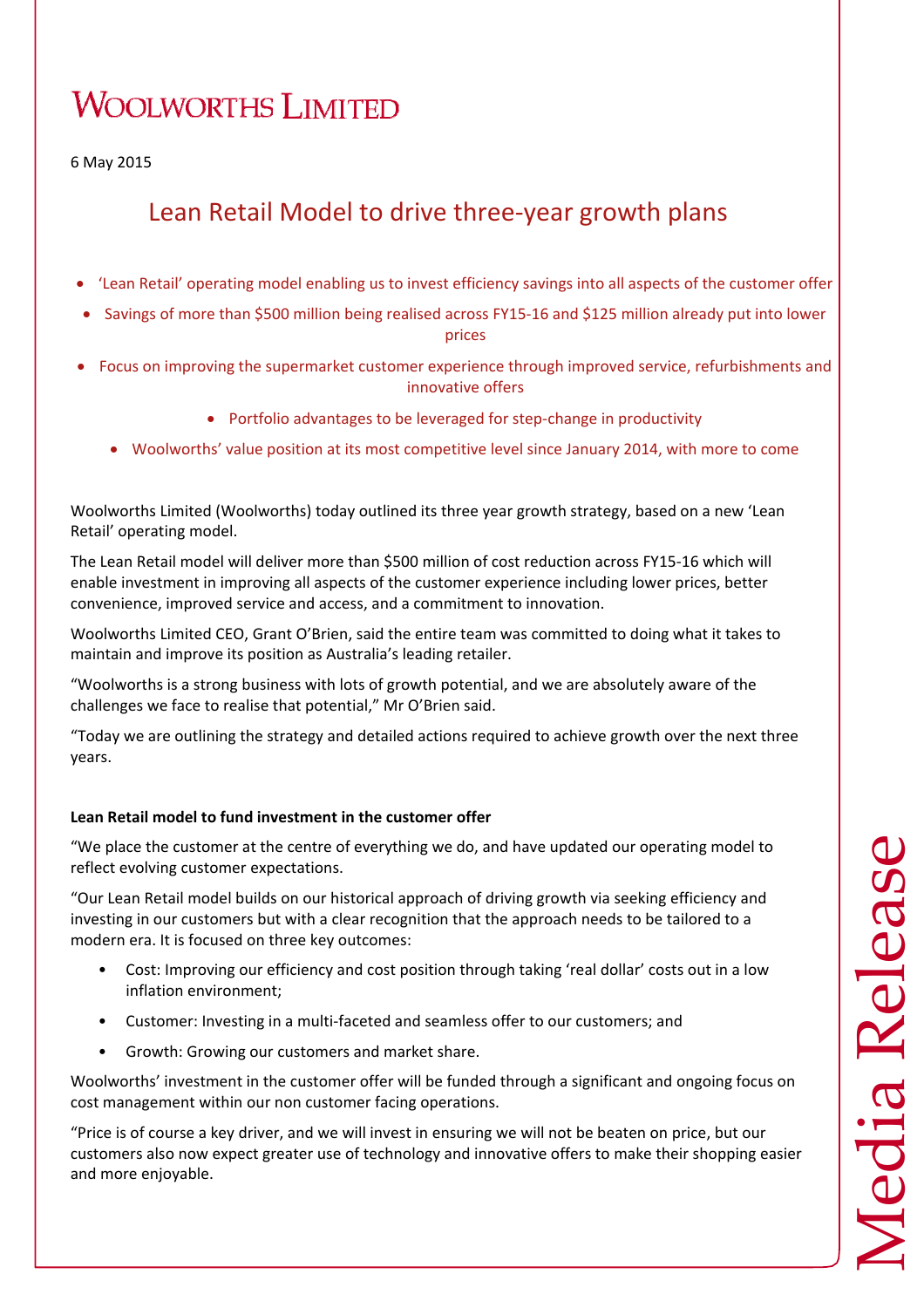# **WOOLWORTHS LIMITED**

6 May 2015

## Lean Retail Model to drive three‐year growth plans

- 'Lean Retail' operating model enabling us to invest efficiency savings into all aspects of the customer offer
- Savings of more than \$500 million being realised across FY15‐16 and \$125 million already put into lower prices
- Focus on improving the supermarket customer experience through improved service, refurbishments and innovative offers
	- Portfolio advantages to be leveraged for step‐change in productivity
	- Woolworths' value position at its most competitive level since January 2014, with more to come

Woolworths Limited (Woolworths) today outlined its three year growth strategy, based on a new 'Lean Retail' operating model.

The Lean Retail model will deliver more than \$500 million of cost reduction across FY15‐16 which will enable investment in improving all aspects of the customer experience including lower prices, better convenience, improved service and access, and a commitment to innovation.

Woolworths Limited CEO, Grant O'Brien, said the entire team was committed to doing what it takes to maintain and improve its position as Australia's leading retailer.

"Woolworths is a strong business with lots of growth potential, and we are absolutely aware of the challenges we face to realise that potential," Mr O'Brien said.

"Today we are outlining the strategy and detailed actions required to achieve growth over the next three years.

### **Lean Retail model to fund investment in the customer offer**

"We place the customer at the centre of everything we do, and have updated our operating model to reflect evolving customer expectations.

"Our Lean Retail model builds on our historical approach of driving growth via seeking efficiency and investing in our customers but with a clear recognition that the approach needs to be tailored to a modern era. It is focused on three key outcomes:

- Cost: Improving our efficiency and cost position through taking 'real dollar' costs out in a low inflation environment;
- Customer: Investing in a multi-faceted and seamless offer to our customers; and
- Growth: Growing our customers and market share.

Woolworths' investment in the customer offer will be funded through a significant and ongoing focus on cost management within our non customer facing operations.

"Price is of course a key driver, and we will invest in ensuring we will not be beaten on price, but our customers also now expect greater use of technology and innovative offers to make their shopping easier and more enjoyable.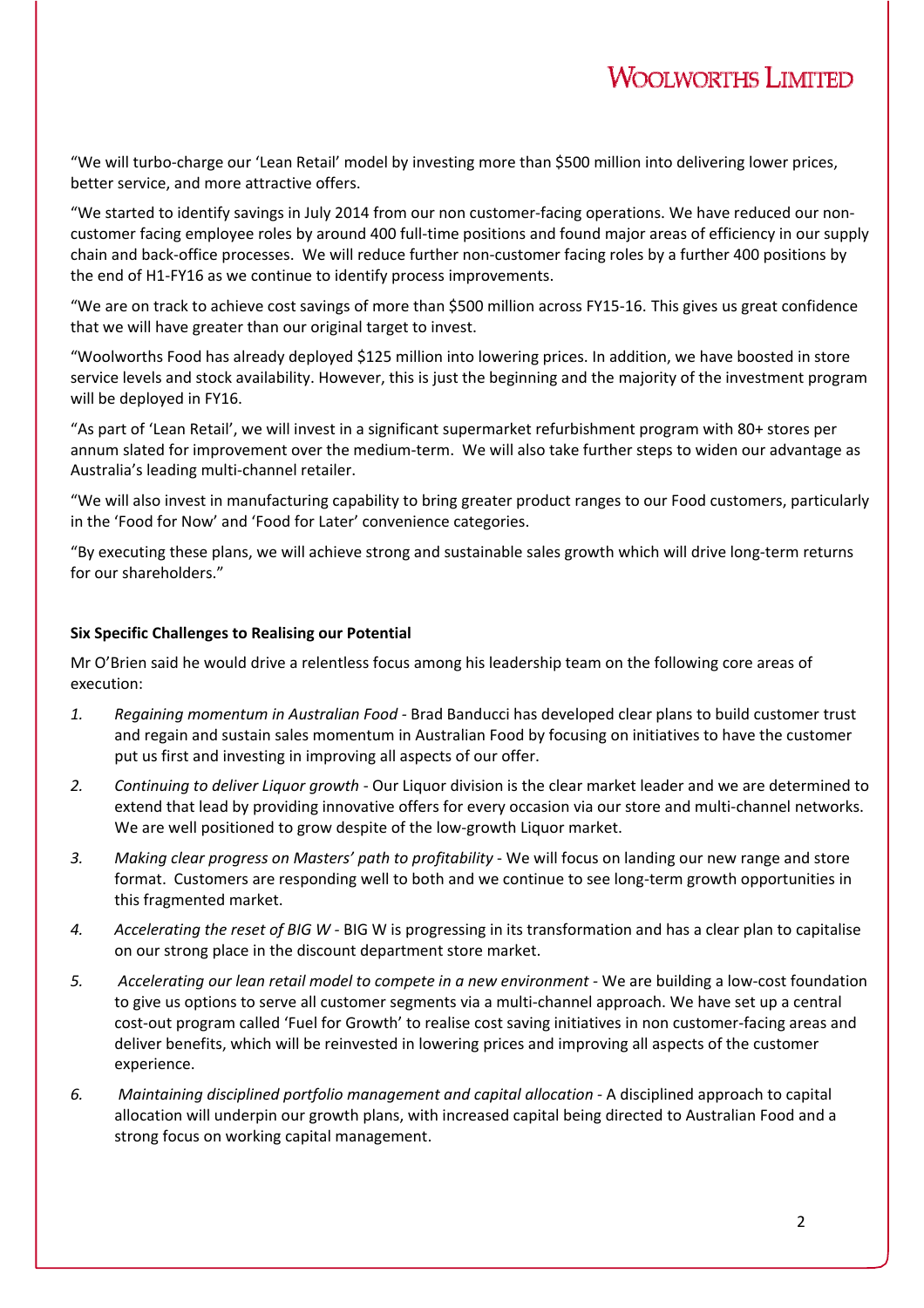"We will turbo‐charge our 'Lean Retail' model by investing more than \$500 million into delivering lower prices, better service, and more attractive offers.

"We started to identify savings in July 2014 from our non customer‐facing operations. We have reduced our non‐ customer facing employee roles by around 400 full‐time positions and found major areas of efficiency in our supply chain and back‐office processes. We will reduce further non‐customer facing roles by a further 400 positions by the end of H1‐FY16 as we continue to identify process improvements.

"We are on track to achieve cost savings of more than \$500 million across FY15‐16. This gives us great confidence that we will have greater than our original target to invest.

"Woolworths Food has already deployed \$125 million into lowering prices. In addition, we have boosted in store service levels and stock availability. However, this is just the beginning and the majority of the investment program will be deployed in FY16.

"As part of 'Lean Retail', we will invest in a significant supermarket refurbishment program with 80+ stores per annum slated for improvement over the medium-term. We will also take further steps to widen our advantage as Australia's leading multi‐channel retailer.

"We will also invest in manufacturing capability to bring greater product ranges to our Food customers, particularly in the 'Food for Now' and 'Food for Later' convenience categories.

"By executing these plans, we will achieve strong and sustainable sales growth which will drive long‐term returns for our shareholders."

#### **Six Specific Challenges to Realising our Potential**

Mr O'Brien said he would drive a relentless focus among his leadership team on the following core areas of execution:

- *1. Regaining momentum in Australian Food ‐* Brad Banducci has developed clear plans to build customer trust and regain and sustain sales momentum in Australian Food by focusing on initiatives to have the customer put us first and investing in improving all aspects of our offer.
- *2. Continuing to deliver Liquor growth* ‐ Our Liquor division is the clear market leader and we are determined to extend that lead by providing innovative offers for every occasion via our store and multi-channel networks. We are well positioned to grow despite of the low-growth Liquor market.
- *3. Making clear progress on Masters' path to profitability* ‐ We will focus on landing our new range and store format. Customers are responding well to both and we continue to see long-term growth opportunities in this fragmented market.
- *4. Accelerating the reset of BIG W ‐* BIG W is progressing in its transformation and has a clear plan to capitalise on our strong place in the discount department store market.
- *5. Accelerating our lean retail model to compete in a new environment ‐* We are building a low‐cost foundation to give us options to serve all customer segments via a multi-channel approach. We have set up a central cost‐out program called 'Fuel for Growth' to realise cost saving initiatives in non customer‐facing areas and deliver benefits, which will be reinvested in lowering prices and improving all aspects of the customer experience.
- *6. Maintaining disciplined portfolio management and capital allocation ‐* A disciplined approach to capital allocation will underpin our growth plans, with increased capital being directed to Australian Food and a strong focus on working capital management.